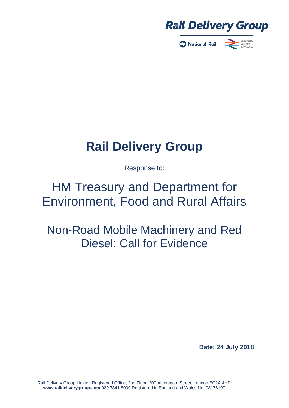

National Rail



# **Rail Delivery Group**

Response to:

## HM Treasury and Department for Environment, Food and Rural Affairs

Non-Road Mobile Machinery and Red Diesel: Call for Evidence

**Date: 24 July 2018**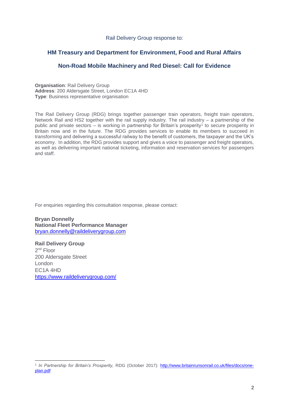#### Rail Delivery Group response to:

## **HM Treasury and Department for Environment, Food and Rural Affairs**

## **Non-Road Mobile Machinery and Red Diesel: Call for Evidence**

**Organisation**: Rail Delivery Group **Address**: 200 Aldersgate Street, London EC1A 4HD **Type**: Business representative organisation

The Rail Delivery Group (RDG) brings together passenger train operators, freight train operators, Network Rail and HS2 together with the rail supply industry. The rail industry – a partnership of the public and private sectors – is working in partnership for Britain's prosperity<sup>1</sup> to secure prosperity in Britain now and in the future. The RDG provides services to enable its members to succeed in transforming and delivering a successful railway to the benefit of customers, the taxpayer and the UK's economy. In addition, the RDG provides support and gives a voice to passenger and freight operators, as well as delivering important national ticketing, information and reservation services for passengers and staff.

For enquiries regarding this consultation response, please contact:

**Bryan Donnelly National Fleet Performance Manager** [bryan.donnelly@raildeliverygroup.com](mailto:bryan.donnelly@raildeliverygroup.com)

**Rail Delivery Group** 2<sup>nd</sup> Floor 200 Aldersgate Street London EC1A 4HD <https://www.raildeliverygroup.com/>

-

<sup>1</sup> *In Partnership for Britain's Prosperity,* RDG (October 2017): [http://www.britainrunsonrail.co.uk/files/docs/one](http://www.britainrunsonrail.co.uk/files/docs/one-plan.pdf)[plan.pdf](http://www.britainrunsonrail.co.uk/files/docs/one-plan.pdf)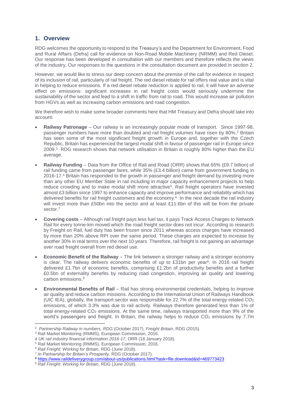## **1. Overview**

RDG welcomes the opportunity to respond to the Treasury's and the Department for Environment, Food and Rural Affairs (Defra) call for evidence on Non-Road Mobile Machinery (NRMM) and Red Diesel. Our response has been developed in consultation with our members and therefore reflects the views of the industry. Our responses to the questions in the consultation document are provided in section 2.

However, we would like to stress our deep concern about the premise of the call for evidence in respect of its inclusion of rail, particularly of rail freight. The red diesel rebate for rail offers real value and is vital in helping to reduce emissions. If a red diesel rebate reduction is applied to rail, it will have an adverse effect on emissions: significant increases in rail freight costs would seriously undermine the sustainability of the sector and lead to a shift in traffic from rail to road. This would increase air pollution from HGVs as well as increasing carbon emissions and road congestion.

We therefore wish to make some broader comments here that HM Treasury and Defra should take into account:

- **Railway Patronage** Our railway is an increasingly popular mode of transport. Since 1997-98, passenger numbers have more than doubled and rail freight volumes have risen by 80%. <sup>2</sup> Britain has seen some of the most significant freight growth in Europe and, together with the Czech Republic, Britain has experienced the largest modal shift in favour of passenger rail in Europe since 2009.<sup>3</sup> RDG research shows that network utilisation in Britain is roughly 80% higher than the EU average.
- **Railway Funding** Data from the Office of Rail and Road (ORR) shows that 65% (£9.7 billion) of rail funding came from passenger fares, while 35% (£3.4 billion) came from government funding in 2016-17. <sup>4</sup> Britain has responded to the growth in passenger and freight demand by investing more than any other EU Member State in rail including in major capacity enhancement projects to help reduce crowding and to make modal shift more attractive<sup>5</sup>. Rail freight operators have invested almost £3 billion since 1997 to enhance capacity and improve performance and reliability which has delivered benefits for rail freight customers and the economy. 6 In the next decade the rail industry will invest more than £50bn into the sector and at least £11.6bn of this will be from the private sector.<sup>7</sup>
- **Covering costs**  Although rail freight pays less fuel tax, it pays Track Access Charges to Network Rail for every tonne-km moved which the road freight sector does not incur. According to research by Freight on Rail, fuel duty has been frozen since 2011 whereas access charges have increased by more than 20% above RPI over the same period. These charges are expected to increase by another 30% in real terms over the next 10 years. Therefore, rail freight is not gaining an advantage over road freight overall from red diesel use.
- **Economic Benefit of the Railway** The link between a stronger railway and a stronger economy is clear. The railway delivers economic benefits of up to £31bn per year<sup>8</sup>. In 2016 rail freight delivered £1.7bn of economic benefits, comprising £1.2bn of productivity benefits and a further £0.5bn of externality benefits by reducing road congestion, improving air quality and lowering carbon emissions.<sup>9</sup>
- **Environmental Benefits of Rail** Rail has strong environmental credentials, helping to improve air quality and reduce carbon missions. According to the International Union of Railways Handbook [\(UIC IEA\)](https://uic.org/IMG/pdf/2014_uic-iea_railway_handbook_web_low.pdf), globally, the transport sector was responsible for 22.7% of the total energy-related  $CO<sub>2</sub>$ emissions, of which 3.3% was due to rail activity. Railways therefore generated less than 1% of total energy-related CO<sup>2</sup> emissions. At the same time, railways transported more than 9% of the world's passengers and freight. In Britain, the railway helps to reduce  $CO<sub>2</sub>$  emissions by 7.7m

 2 *Partnership Railway in numbers, RDG* (October 2017), *Freight Britain*, RDG (2015).

<sup>3</sup> Rail Market Monitoring (RMMS), European Commission, 2016.

<sup>4</sup> *UK rail industry financial information 2016-17*, ORR (18 January 2018).

<sup>5</sup> Rail Market Monitoring (RMMS), European Commission, 2016.

<sup>6</sup> *Rail Freight: Working for Britain*, RDG (June 2018).

<sup>7</sup> *In Partnership for Britain's Prosperity*, RDG (October 2017).

<sup>8</sup> <https://www.raildeliverygroup.com/about-us/publications.html?task=file.download&id=469773423>

<sup>9</sup> *Rail Freight: Working for Britain*, RDG (June 2018).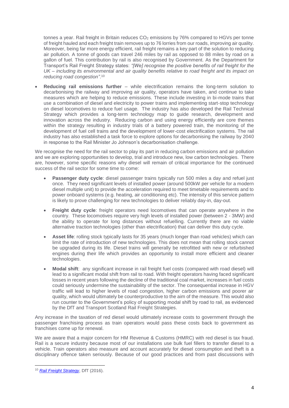tonnes a year. Rail freight in Britain reduces  $CO<sub>2</sub>$  emissions by 76% compared to HGVs per tonne of freight hauled and each freight train removes up to 76 lorries from our roads, improving air quality. Moreover, being far more energy efficient, rail freight remains a key part of the solution to reducing air pollution. A tonne of goods can travel 246 miles by rail as opposed to 88 miles by road on a gallon of fuel. This contribution by rail is also recognised by Government. As the Department for Transport's Rail Freight Strategy states: *"[We] recognise the positive benefits of rail freight for the UK – including its environmental and air quality benefits relative to road freight and its impact on reducing road congestion"*. 10

• **Reducing rail emissions further** – while electrification remains the long-term solution to decarbonising the railway and improving air quality, operators have taken, and continue to take measures which are helping to reduce emissions. These include investing in bi-mode trains that use a combination of diesel and electricity to power trains and implementing start-stop technology on diesel locomotives to reduce fuel usage. The industry has also developed the Rail Technical Strategy which provides a long-term technology map to guide research, development and innovation across the industry. Reducing carbon and using energy efficiently are core themes within the strategy resulting in industry trials of a battery powered train, the monitoring of the development of fuel cell trains and the development of lower-cost electrification systems. The rail industry has also established a task force to explore options for decarbonising the railway by 2040 in response to the Rail Minister Jo Johnson's decarbonisation challenge.

We recognise the need for the rail sector to play its part in reducing carbon emissions and air pollution and we are exploring opportunities to develop, trial and introduce new, low carbon technologies. There are, however, some specific reasons why diesel will remain of critical importance for the continued success of the rail sector for some time to come:

- **Passenger duty cycle**: diesel passenger trains typically run 500 miles a day and refuel just once. They need significant levels of installed power (around 500kW per vehicle for a modern diesel multiple unit) to provide the acceleration required to meet timetable requirements and to power onboard systems (e.g. heating, air conditioning etc). The intensity of this service pattern is likely to prove challenging for new technologies to deliver reliably day-in, day-out.
- **Freight duty cycle**: freight operators need locomotives that can operate anywhere in the country. These locomotives require very high levels of installed power (between 2 - 3MW) and the ability to operate for long distances without refuelling. Currently there are no viable alternative traction technologies (other than electrification) that can deliver this duty cycle.
- **Asset life**: rolling stock typically lasts for 35 years (much longer than road vehicles) which can limit the rate of introduction of new technologies. This does not mean that rolling stock cannot be upgraded during its life. Diesel trains will generally be retrofitted with new or refurbished engines during their life which provides an opportunity to install more efficient and cleaner technologies.
- **Modal shift**: any significant increase in rail freight fuel costs (compared with road diesel) will lead to a significant modal shift from rail to road. With freight operators having faced significant losses in recent years following the decline of the traditional coal market, increases in fuel costs could seriously undermine the sustainability of the sector. The consequential increase in HGV traffic will lead to higher levels of road congestion, higher carbon emissions and poorer air quality, which would ultimately be counterproductive to the aim of the measure. This would also run counter to the Government's policy of supporting modal shift by road to rail, as evidenced by the DfT and Transport Scotland Rail Freight Strategies.

Any increase in the taxation of red diesel would ultimately increase costs to government through the passenger franchising process as train operators would pass these costs back to government as franchises come up for renewal.

We are aware that a major concern for HM Revenue & Customs (HMRC) with red diesel is tax fraud. Rail is a secure industry because most of our installations use bulk fuel fillers to transfer diesel to a vehicle. Train operators also measure and account accurately for diesel consumption and theft is a disciplinary offence taken seriously. Because of our good practices and from past discussions with

**<sup>.</sup>** <sup>10</sup> *[Rail Freight Strategy](https://assets.publishing.service.gov.uk/government/uploads/system/uploads/attachment_data/file/552492/rail-freight-strategy.pdf)*, DfT (2016).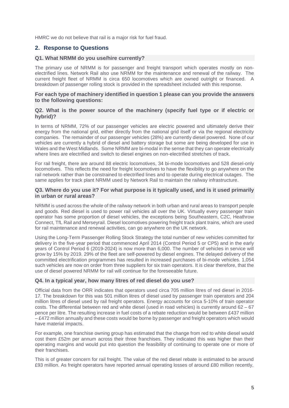HMRC we do not believe that rail is a major risk for fuel fraud.

### **2. Response to Questions**

#### **Q1. What NRMM do you use/hire currently?**

The primary use of NRMM is for passenger and freight transport which operates mostly on nonelectrified lines. Network Rail also use NRMM for the maintenance and renewal of the railway. The current freight fleet of NRMM is circa 650 locomotives which are owned outright or financed. A breakdown of passenger rolling stock is provided in the spreadsheet included with this response.

#### **For each type of machinery identified in question 1 please can you provide the answers to the following questions:**

#### **Q2. What is the power source of the machinery (specify fuel type or if electric or hybrid)?**

In terms of NRMM, 72% of our passenger vehicles are electric powered and ultimately derive their energy from the national grid, either directly from the national grid itself or via the regional electricity companies. The remainder of our passenger vehicles (28%) are currently diesel powered. None of our vehicles are currently a hybrid of diesel and battery storage but some are being developed for use in Wales and the West Midlands. Some NRMM are bi-modal in the sense that they can operate electrically where lines are electrified and switch to diesel engines on non-electrified stretches of track.

For rail freight, there are around 88 electric locomotives, 34 bi-mode locomotives and 528 diesel-only locomotives. This reflects the need for freight locomotives to have the flexibility to go anywhere on the rail network rather than be constrained to electrified lines and to operate during electrical outages. The same applies for track plant NRMM used by Network Rail to maintain the railway infrastructure.

#### **Q3. Where do you use it? For what purpose is it typically used, and is it used primarily in urban or rural areas?**

NRMM is used across the whole of the railway network in both urban and rural areas to transport people and goods. Red diesel is used to power rail vehicles all over the UK. Virtually every passenger train operator has some proportion of diesel vehicles, the exceptions being Southeastern, C2C, Heathrow Connect, TfL Rail and Merseyrail. Diesel locomotives powering freight track plant trains, which are used for rail maintenance and renewal activities, can go anywhere on the UK network.

Using the Long-Term Passenger Rolling Stock Strategy the total number of new vehicles committed for delivery in the five-year period that commenced April 2014 (Control Period 5 or CP5) and in the early years of Control Period 6 (2019-2024) is now more than 6,000. The number of vehicles in service will grow by 15% by 2019. 29% of the fleet are self-powered by diesel engines. The delayed delivery of the committed electrification programmes has resulted in increased purchases of bi-mode vehicles. 1,054 such vehicles are now on order from three suppliers for six train operators. It is clear therefore, that the use of diesel powered NRMM for rail will continue for the foreseeable future.

#### **Q4. In a typical year, how many litres of red diesel do you use?**

Official data from the ORR indicates that operators used circa 705 million litres of red diesel in 2016- 17. The breakdown for this was 501 million litres of diesel used by passenger train operators and 204 million litres of diesel used by rail freight operators. Energy accounts for circa 5-10% of train operator costs. The differential between red and white diesel (used in road vehicles) is currently around 62 – 67 pence per litre. The resulting increase in fuel costs of a rebate reduction would be between £437 million – £472 million annually and these costs would be borne by passenger and freight operators which would have material impacts.

For example, one franchise owning group has estimated that the change from red to white diesel would cost them £52m per annum across their three franchises. They indicated this was higher than their operating margins and would put into question the feasibility of continuing to operate one or more of their franchises.

This is of greater concern for rail freight. The value of the red diesel rebate is estimated to be around £93 million. As freight operators have reported annual operating losses of around £80 million recently,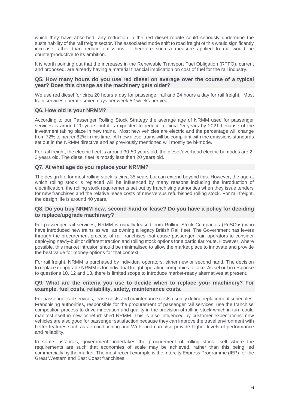which they have absorbed, any reduction in the red diesel rebate could seriously undermine the sustainability of the rail freight sector. The associated mode shift to road freight of this would significantly increase rather than reduce emissions – therefore such a measure applied to rail would be counterproductive to its ambition.

It is worth pointing out that the increases in the Renewable Transport Fuel Obligation (RTFO), current and proposed, are already having a material financial implication on cost of fuel for the rail industry.

#### **Q5. How many hours do you use red diesel on average over the course of a typical year? Does this change as the machinery gets older?**

We use red diesel for circa 20 hours a day for passenger rail and 24 hours a day for rail freight. Most train services operate seven days per week 52 weeks per year.

#### **Q6. How old is your NRMM?**

According to our Passenger Rolling Stock Strategy the average age of NRMM used for passenger services is around 20 years but it is expected to reduce to circa 15 years by 2021 because of the investment taking place in new trains. Most new vehicles are electric and the percentage will change from 72% to nearer 82% in this time. All new diesel trains will be compliant with the emissions standards set out in the NRMM directive and as previously mentioned will mostly be bi-mode.

For rail freight, the electric fleet is around 30-50 years old, the diesel/overhead electric bi-modes are 2- 3 years old. The diesel fleet is mostly less than 20 years old.

#### **Q7. At what age do you replace your NRMM?**

The design life for most rolling stock is circa 35 years but can extend beyond this. However, the age at which rolling stock is replaced will be influenced by many reasons including the introduction of electrification, the rolling stock requirements set out by franchising authorities when they issue tenders for new franchises and the relative lease costs of new versus refurbished rolling stock. For rail freight, the design life is around 40 years.

#### **Q8. Do you buy NRMM new, second-hand or lease? Do you have a policy for deciding to replace/upgrade machinery?**

For passenger rail services, NRMM is usually leased from Rolling Stock Companies (RoSCos) who have introduced new trains as well as owning a legacy British Rail fleet. The Government has levers through the procurement process of rail franchises that cause passenger train operators to consider deploying newly-built or different traction and rolling stock options for a particular route. However, where possible, this market intrusion should be minimalised to allow the market place to innovate and provide the best value for money options for that context.

For rail freight, NRMM is purchased by individual operators, either new or second hand. The decision to replace or upgrade NRMM is for individual freight operating companies to take. As set out in response to questions 10, 12 and 13, there is limited scope to introduce market-ready alternatives at present.

#### **Q9. What are the criteria you use to decide when to replace your machinery? For example, fuel costs, reliability, safety, maintenance costs.**

For passenger rail services, lease costs and maintenance costs usually define replacement schedules. Franchising authorities, responsible for the procurement of passenger rail services, use the franchise competition process to drive innovation and quality in the provision of rolling stock which in turn could manifest itself in new or refurbished NRMM. This is also influenced by customer expectations: new vehicles are also good for passenger satisfaction because they can improve the travel environment with better features such as air conditioning and Wi-Fi and can also provide higher levels of performance and reliability.

In some instances, government undertakes the procurement of rolling stock itself where the requirements are such that economies of scale may be achieved, rather than this being led commercially by the market. The most recent example is the Intercity Express Programme (IEP) for the Great Western and East Coast franchises.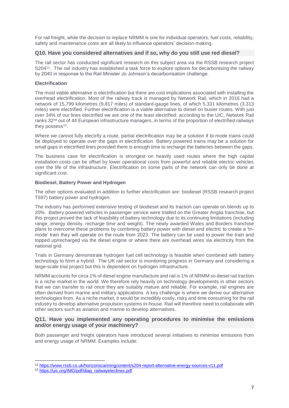For rail freight, while the decision to replace NRMM is one for individual operators, fuel costs, reliability, safety and maintenance costs are all likely to influence operators' decision-making.

#### **Q10. Have you considered alternatives and if so, why do you still use red diesel?**

The rail sector has conducted significant research on this subject area via the RSSB research project S204<sup>11</sup>. The rail industry has established a task force to explore options for decarbonising the railway by 2040 in response to the Rail Minister Jo Johnson's decarbonisation challenge.

#### **Electrification**

The most viable alternative is electrification but there are cost implications associated with installing the overhead electrification. Most of the railway track is managed by [Network Rail,](https://en.wikipedia.org/wiki/Network_Rail) which in 2016 had a network of 15,799 kilometres (9,817 miles) of [standard-gauge](https://en.wikipedia.org/wiki/Standard-gauge) lines, of which 5,331 kilometres (3,313 miles) were [electrified.](https://en.wikipedia.org/wiki/Railway_electrification_in_Great_Britain) Further electrification is a viable alternative to diesel on busier routes. With just over 34% of our lines electrified we are one of the least electrified: according to the UIC, Network Rail ranks 32<sup>nd</sup> out of 44 European infrastructure managers, in terms of the proportion of electrified railways they possess<sup>12</sup>.

Where we cannot fully electrify a route, partial electrification may be a solution if bi-mode trains could be deployed to operate over the gaps in electrification. Battery powered trains may be a solution for small gaps in electrified lines provided there is enough time to recharge the batteries between the gaps.

The business case for electrification is strongest on heavily used routes where the high capital installation costs can be offset by lower operational costs from powerful and reliable electric vehicles over the life of the infrastructure. Electrification on some parts of the network can only be done at significant cost.

#### **Biodiesel, Battery Power and Hydrogen**

The other options evaluated in addition to further electrification are: biodiesel (RSSB research project T697) battery power and hydrogen.

The industry has performed extensive testing of biodiesel and its traction can operate on blends up to 20%. Battery powered vehicles in passenger service were trialled on the Greater Anglia franchise, but this project proved the lack of feasibility of battery technology due to its continuing limitations (including range, energy density, recharge time and weight). The newly awarded Wales and Borders franchise plans to overcome these problems by combining battery power with diesel and electric to create a 'trimode' train they will operate on the route from 2023. The battery can be used to power the train and topped up/recharged via the diesel engine or where there are overhead wires via electricity from the national grid.

Trials in Germany demonstrate hydrogen fuel cell technology is feasible when combined with battery technology to form a hybrid. The UK rail sector is monitoring progress in Germany and considering a large-scale trial project but this is dependent on hydrogen infrastructure.

NRMM accounts for circa 1% of diesel engine manufacture and rail is 1% of NRMM so diesel rail traction is a niche market in the world. We therefore rely heavily on technology developments in other sectors that we can transfer to rail once they are suitably mature and reliable. For example, rail engines are often derived from marine and military applications. A key challenge is where we derive our alternative technologies from. As a niche market, it would be incredibly costly, risky and time consuming for the rail industry to develop alternative propulsion systems in-house. Rail will therefore need to collaborate with other sectors such as aviation and marine to develop alternatives.

#### **Q11. Have you implemented any operating procedures to minimise the emissions and/or energy usage of your machinery?**

Both passenger and freight operators have introduced several initiatives to minimise emissions from and energy usage of NRMM. Examples include:

-

<sup>11</sup> <https://www.rssb.co.uk/horizonscanningcontent/s204-report-alternative-energy-sources-v11.pdf>

<sup>12</sup> [https://uic.org/IMG/pdf/diag\\_railwayeleclines.pdf](https://uic.org/IMG/pdf/diag_railwayeleclines.pdf)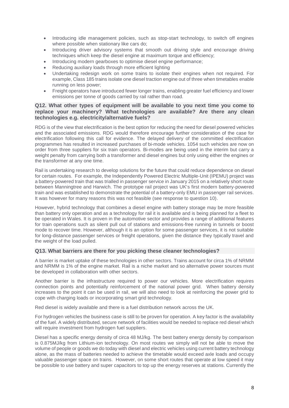- Introducing idle management policies, such as stop-start technology, to switch off engines where possible when stationary like cars do;
- Introducing driver advisory systems that smooth out driving style and encourage driving techniques which keep the diesel engine at maximum torque and efficiency;
- Introducing modern gearboxes to optimise diesel engine performance:
- Reducing auxiliary loads through more efficient lighting
- Undertaking redesign work on some trains to isolate their engines when not required. For example, Class 185 trains isolate one diesel traction engine out of three when timetables enable running on less power;
- Freight operators have introduced fewer longer trains, enabling greater fuel efficiency and lower emissions per tonne of goods carried by rail rather than road.

#### **Q12. What other types of equipment will be available to you next time you come to replace your machinery? What technologies are available? Are there any clean technologies e.g. electricity/alternative fuels?**

RDG is of the view that electrification is the best option for reducing the need for diesel powered vehicles and the associated emissions. RDG would therefore encourage further consideration of the case for electrification following this call for evidence. The delayed delivery of the committed electrification programmes has resulted in increased purchases of bi-mode vehicles. 1054 such vehicles are now on order from three suppliers for six train operators. Bi-modes are being used in the interim but carry a weight penalty from carrying both a transformer and diesel engines but only using either the engines or the transformer at any one time.

Rail is undertaking research to develop solutions for the future that could reduce dependence on diesel for certain routes. For example, the Independently Powered Electric Multiple-Unit (IPEMU) project was a battery-powered train that was trialled in passenger service in January 2015 on a relatively short route between Manningtree and Harwich. The prototype rail project was UK's first modern battery-powered train and was established to demonstrate the potential of a battery-only EMU in passenger rail services. It was however for many reasons this was not feasible (see response to question 10).

However, hybrid technology that combines a diesel engine with battery storage may be more feasible than battery only operation and as a technology for rail it is available and is being planned for a fleet to be operated in Wales. It is proven in the automotive sector and provides a range of additional features for train operations such as silent pull out of stations and emissions-free running in tunnels or boost mode to recover time. However, although it is an option for some passenger services, it is not suitable for long-distance passenger services or freight operations, given the distance they typically travel and the weight of the load pulled.

#### **Q13. What barriers are there for you picking these cleaner technologies?**

A barrier is market uptake of these technologies in other sectors. Trains account for circa 1% of NRMM and NRMM is 1% of the engine market. Rail is a niche market and so alternative power sources must be developed in collaboration with other sectors.

Another barrier is the infrastructure required to power our vehicles. More electrification requires connection points and potentially reinforcement of the national power grid. When battery density increases to the point it can be used in rail, we will also need to look at reinforcing the power grid to cope with charging loads or incorporating smart grid technology.

Red diesel is widely available and there is a fuel distribution network across the UK.

For hydrogen vehicles the business case is still to be proven for operation. A key factor is the availability of the fuel. A widely distributed, secure network of facilities would be needed to replace red diesel which will require investment from hydrogen fuel suppliers.

Diesel has a specific energy density of circa 48 MJ/kg. The best battery energy density by comparison is 0.875MJ/kg from Lithium-ion technology. On most routes we simply will not be able to move the volume of people or goods we do today with diesel and electric vehicles using current battery technology alone, as the mass of batteries needed to achieve the timetable would exceed axle loads and occupy valuable passenger space on trains. However, on some short routes that operate at low speed it may be possible to use battery and super capacitors to top up the energy reserves at stations. Currently the